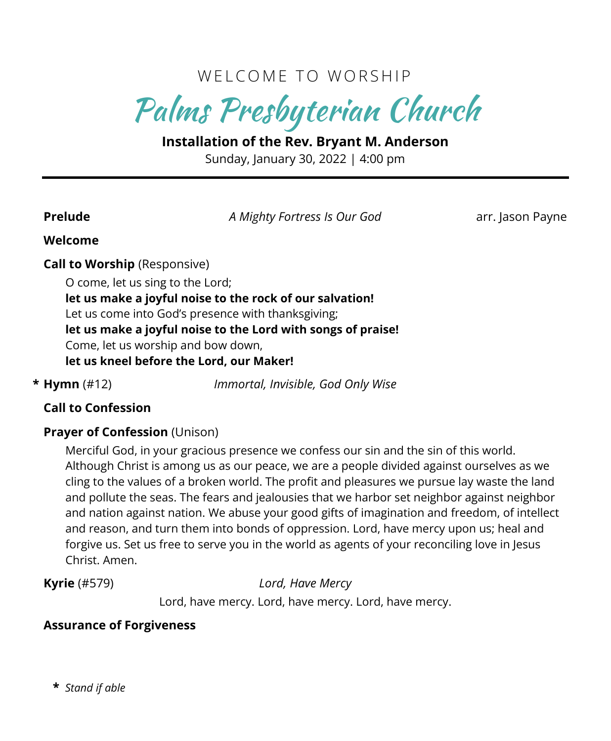## WELCOME TO WORSHIP

Palms Presbyterian Church

**Installation of the Rev. Bryant M. Anderson** Sunday, January 30, 2022 | 4:00 pm

**Prelude** *A Mighty Fortress Is Our God* arr. Jason Payne

#### **Welcome**

#### **Call to Worship** (Responsive)

O come, let us sing to the Lord; **let us make a joyful noise to the rock of our salvation!** Let us come into God's presence with thanksgiving; **let us make a joyful noise to the Lord with songs of praise!** Come, let us worship and bow down, **let us kneel before the Lord, our Maker!**

**\* Hymn** (#12) *Immortal, Invisible, God Only Wise*

#### **Call to Confession**

#### **Prayer of Confession** (Unison)

Merciful God, in your gracious presence we confess our sin and the sin of this world. Although Christ is among us as our peace, we are a people divided against ourselves as we cling to the values of a broken world. The profit and pleasures we pursue lay waste the land and pollute the seas. The fears and jealousies that we harbor set neighbor against neighbor and nation against nation. We abuse your good gifts of imagination and freedom, of intellect and reason, and turn them into bonds of oppression. Lord, have mercy upon us; heal and forgive us. Set us free to serve you in the world as agents of your reconciling love in Jesus Christ. Amen.

**Kyrie** (#579) *Lord, Have Mercy* Lord, have mercy. Lord, have mercy. Lord, have mercy.

#### **Assurance of Forgiveness**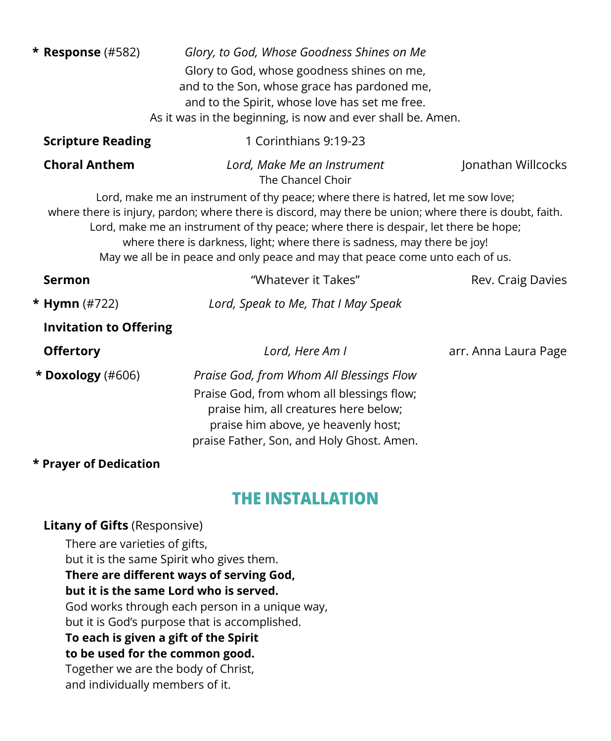| * Response $(\#582)$          | Glory, to God, Whose Goodness Shines on Me                                                                                                                                                                                                                                                                                                                                                                                                          |                      |
|-------------------------------|-----------------------------------------------------------------------------------------------------------------------------------------------------------------------------------------------------------------------------------------------------------------------------------------------------------------------------------------------------------------------------------------------------------------------------------------------------|----------------------|
|                               | Glory to God, whose goodness shines on me,                                                                                                                                                                                                                                                                                                                                                                                                          |                      |
|                               | and to the Son, whose grace has pardoned me,                                                                                                                                                                                                                                                                                                                                                                                                        |                      |
|                               | and to the Spirit, whose love has set me free.                                                                                                                                                                                                                                                                                                                                                                                                      |                      |
|                               | As it was in the beginning, is now and ever shall be. Amen.                                                                                                                                                                                                                                                                                                                                                                                         |                      |
| <b>Scripture Reading</b>      | 1 Corinthians 9:19-23                                                                                                                                                                                                                                                                                                                                                                                                                               |                      |
| <b>Choral Anthem</b>          | Lord, Make Me an Instrument<br>The Chancel Choir                                                                                                                                                                                                                                                                                                                                                                                                    | Jonathan Willcocks   |
|                               | Lord, make me an instrument of thy peace; where there is hatred, let me sow love;<br>where there is injury, pardon; where there is discord, may there be union; where there is doubt, faith.<br>Lord, make me an instrument of thy peace; where there is despair, let there be hope;<br>where there is darkness, light; where there is sadness, may there be joy!<br>May we all be in peace and only peace and may that peace come unto each of us. |                      |
| <b>Sermon</b>                 | "Whatever it Takes"                                                                                                                                                                                                                                                                                                                                                                                                                                 | Rev. Craig Davies    |
| * Hymn $(\#722)$              | Lord, Speak to Me, That I May Speak                                                                                                                                                                                                                                                                                                                                                                                                                 |                      |
| <b>Invitation to Offering</b> |                                                                                                                                                                                                                                                                                                                                                                                                                                                     |                      |
| <b>Offertory</b>              | Lord, Here Am I                                                                                                                                                                                                                                                                                                                                                                                                                                     | arr. Anna Laura Page |
| * Doxology (#606)             | Praise God, from Whom All Blessings Flow                                                                                                                                                                                                                                                                                                                                                                                                            |                      |
|                               | Praise God, from whom all blessings flow;<br>praise him, all creatures here below;<br>praise him above, ye heavenly host;<br>praise Father, Son, and Holy Ghost. Amen.                                                                                                                                                                                                                                                                              |                      |
| * Prayer of Dedication        |                                                                                                                                                                                                                                                                                                                                                                                                                                                     |                      |
|                               |                                                                                                                                                                                                                                                                                                                                                                                                                                                     |                      |

### THE INSTALLATION

#### **Litany of Gifts** (Responsive)

There are varieties of gifts, but it is the same Spirit who gives them. **There are different ways of serving God, but it is the same Lord who is served.** God works through each person in a unique way, but it is God's purpose that is accomplished. **To each is given a gift of the Spirit to be used for the common good.** Together we are the body of Christ, and individually members of it.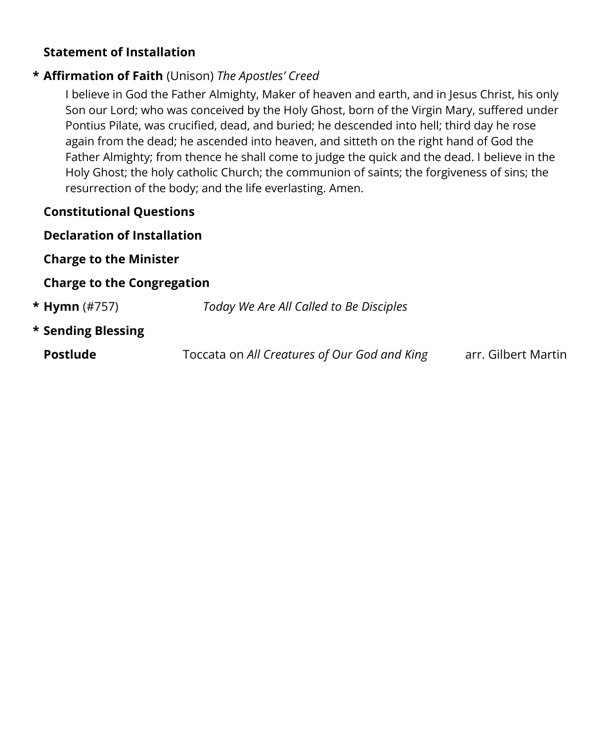#### **Statement of Installation**

#### **\* Affirmation of Faith** (Unison) *The Apostles' Creed*

I believe in God the Father Almighty, Maker of heaven and earth, and in Jesus Christ, his only Son our Lord; who was conceived by the Holy Ghost, born of the Virgin Mary, suffered under Pontius Pilate, was crucified, dead, and buried; he descended into hell; third day he rose again from the dead; he ascended into heaven, and sitteth on the right hand of God the Father Almighty; from thence he shall come to judge the quick and the dead. I believe in the Holy Ghost; the holy catholic Church; the communion of saints; the forgiveness of sins; the resurrection of the body; and the life everlasting. Amen.

#### **Constitutional Questions**

#### **Declaration of Installation**

**Charge to the Minister**

#### **Charge to the Congregation**

| <b>* Hymn</b> (#757) | Today We Are All Called to Be Disciples      |                     |
|----------------------|----------------------------------------------|---------------------|
| * Sending Blessing   |                                              |                     |
| <b>Postlude</b>      | Toccata on All Creatures of Our God and King | arr. Gilbert Martin |